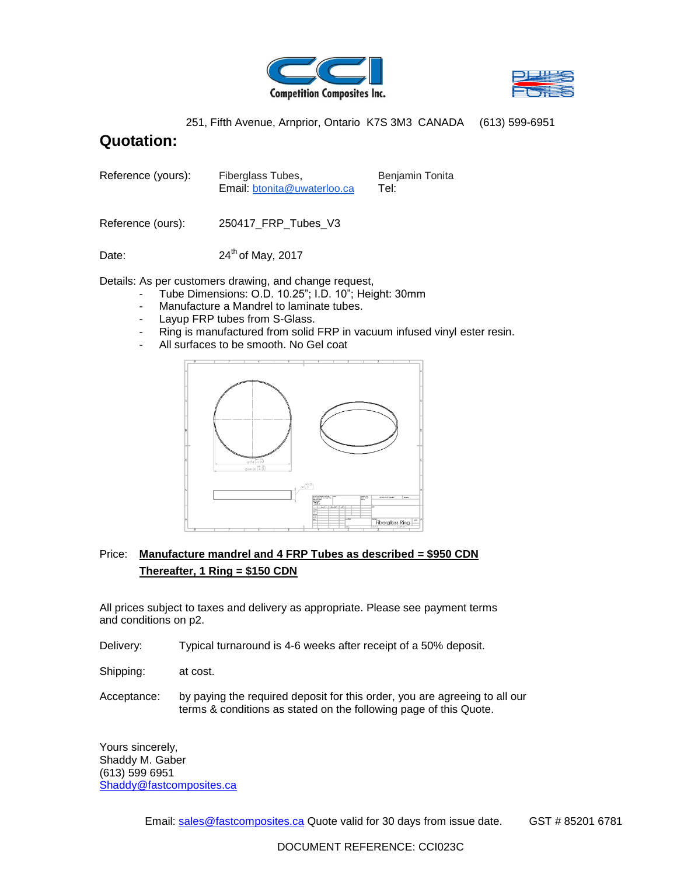



251, Fifth Avenue, Arnprior, Ontario K7S 3M3 CANADA (613) 599-6951

## **Quotation:**

| Reference (yours): | Fiberglass Tubes,           | Benjamin Tonita |
|--------------------|-----------------------------|-----------------|
|                    | Email: btonita@uwaterloo.ca | Tel:            |

Reference (ours): 250417\_FRP\_Tubes\_V3

Date:  $24<sup>th</sup>$  of May, 2017

Details: As per customers drawing, and change request,

- Tube Dimensions: O.D. 10.25"; I.D. 10"; Height: 30mm
- Manufacture a Mandrel to laminate tubes.
- Layup FRP tubes from S-Glass.<br>- Ring is manufactured from solid.
- Ring is manufactured from solid FRP in vacuum infused vinyl ester resin.
- All surfaces to be smooth. No Gel coat



## Price: **Manufacture mandrel and 4 FRP Tubes as described = \$950 CDN Thereafter, 1 Ring = \$150 CDN**

All prices subject to taxes and delivery as appropriate. Please see payment terms and conditions on p2.

- Delivery: Typical turnaround is 4-6 weeks after receipt of a 50% deposit.
- Shipping: at cost.
- Acceptance: by paying the required deposit for this order, you are agreeing to all our terms & conditions as stated on the following page of this Quote.

Yours sincerely, Shaddy M. Gaber (613) 599 6951 [Shaddy@fastcomposites.ca](mailto:Shaddy@fastcomposites.ca)

Email: sales@fastcomposites.ca Quote valid for 30 days from issue date. GST # 85201 6781